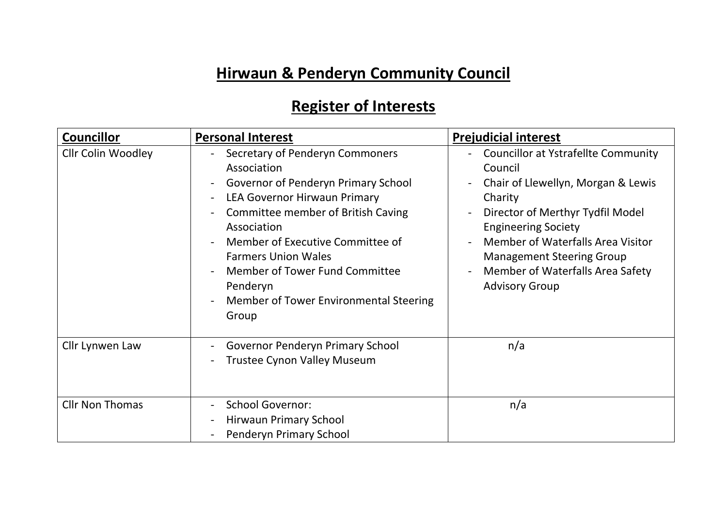## **Hirwaun & Penderyn Community Council**

## **Register of Interests**

| <b>Councillor</b>         | <b>Personal Interest</b>                                                                                                                                                                                                                                                                                                                      | <b>Prejudicial interest</b>                                                                                                                                                                                                                                                                                    |
|---------------------------|-----------------------------------------------------------------------------------------------------------------------------------------------------------------------------------------------------------------------------------------------------------------------------------------------------------------------------------------------|----------------------------------------------------------------------------------------------------------------------------------------------------------------------------------------------------------------------------------------------------------------------------------------------------------------|
| <b>Cllr Colin Woodley</b> | Secretary of Penderyn Commoners<br>Association<br>Governor of Penderyn Primary School<br>LEA Governor Hirwaun Primary<br>Committee member of British Caving<br>Association<br>Member of Executive Committee of<br><b>Farmers Union Wales</b><br>Member of Tower Fund Committee<br>Penderyn<br>Member of Tower Environmental Steering<br>Group | <b>Councillor at Ystrafellte Community</b><br>Council<br>Chair of Llewellyn, Morgan & Lewis<br>Charity<br>Director of Merthyr Tydfil Model<br><b>Engineering Society</b><br>Member of Waterfalls Area Visitor<br><b>Management Steering Group</b><br>Member of Waterfalls Area Safety<br><b>Advisory Group</b> |
| Cllr Lynwen Law           | Governor Penderyn Primary School<br><b>Trustee Cynon Valley Museum</b>                                                                                                                                                                                                                                                                        | n/a                                                                                                                                                                                                                                                                                                            |
| <b>Cllr Non Thomas</b>    | <b>School Governor:</b><br>Hirwaun Primary School<br>Penderyn Primary School                                                                                                                                                                                                                                                                  | n/a                                                                                                                                                                                                                                                                                                            |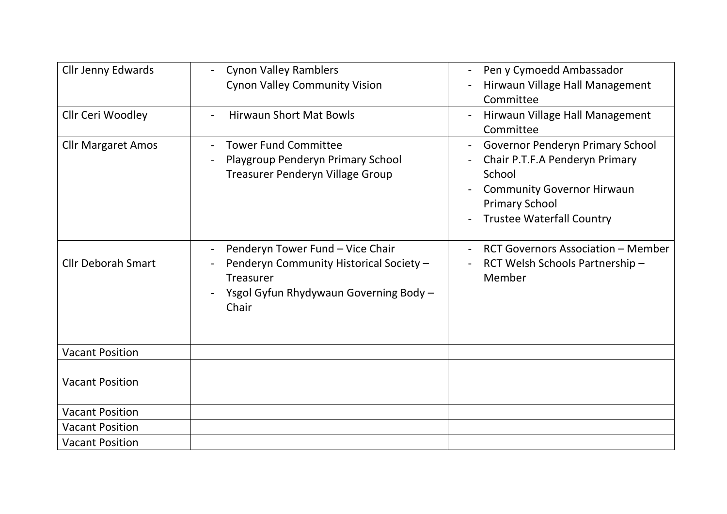| Cllr Jenny Edwards<br>Cllr Ceri Woodley | <b>Cynon Valley Ramblers</b><br><b>Cynon Valley Community Vision</b><br><b>Hirwaun Short Mat Bowls</b>                                             | Pen y Cymoedd Ambassador<br>Hirwaun Village Hall Management<br>Committee<br>Hirwaun Village Hall Management                                                                           |
|-----------------------------------------|----------------------------------------------------------------------------------------------------------------------------------------------------|---------------------------------------------------------------------------------------------------------------------------------------------------------------------------------------|
|                                         |                                                                                                                                                    | Committee                                                                                                                                                                             |
| <b>Cllr Margaret Amos</b>               | <b>Tower Fund Committee</b><br>Playgroup Penderyn Primary School<br>Treasurer Penderyn Village Group                                               | <b>Governor Penderyn Primary School</b><br>Chair P.T.F.A Penderyn Primary<br>School<br><b>Community Governor Hirwaun</b><br><b>Primary School</b><br><b>Trustee Waterfall Country</b> |
| <b>Cllr Deborah Smart</b>               | Penderyn Tower Fund - Vice Chair<br>Penderyn Community Historical Society -<br><b>Treasurer</b><br>Ysgol Gyfun Rhydywaun Governing Body -<br>Chair | <b>RCT Governors Association - Member</b><br>RCT Welsh Schools Partnership-<br>Member                                                                                                 |
| <b>Vacant Position</b>                  |                                                                                                                                                    |                                                                                                                                                                                       |
| <b>Vacant Position</b>                  |                                                                                                                                                    |                                                                                                                                                                                       |
| <b>Vacant Position</b>                  |                                                                                                                                                    |                                                                                                                                                                                       |
| <b>Vacant Position</b>                  |                                                                                                                                                    |                                                                                                                                                                                       |
| <b>Vacant Position</b>                  |                                                                                                                                                    |                                                                                                                                                                                       |